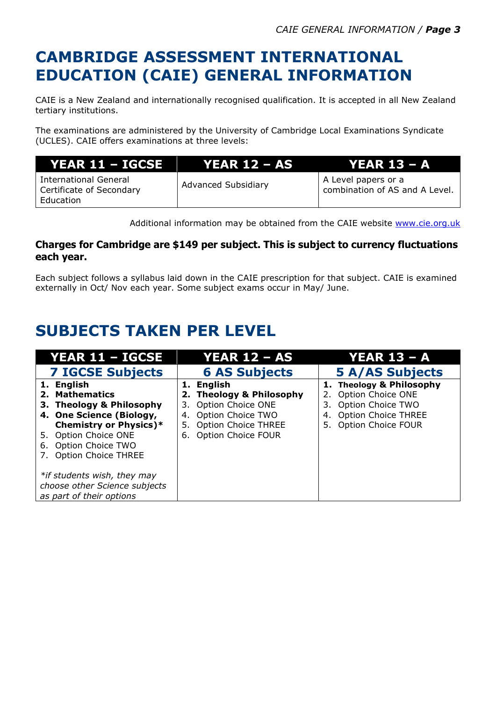## **CAMBRIDGE ASSESSMENT INTERNATIONAL EDUCATION (CAIE) GENERAL INFORMATION**

CAIE is a New Zealand and internationally recognised qualification. It is accepted in all New Zealand tertiary institutions.

The examinations are administered by the University of Cambridge Local Examinations Syndicate (UCLES). CAIE offers examinations at three levels:

| YEAR 11 - IGCSE                                                       | YEAR 12 – AS '             | . YEAR 13 – A                                         |
|-----------------------------------------------------------------------|----------------------------|-------------------------------------------------------|
| <b>International General</b><br>Certificate of Secondary<br>Education | <b>Advanced Subsidiary</b> | A Level papers or a<br>combination of AS and A Level. |

Additional information may be obtained from the CAIE website [www.cie.org.uk](http://www.cie.org.uk/)

#### **Charges for Cambridge are \$149 per subject. This is subject to currency fluctuations each year.**

Each subject follows a syllabus laid down in the CAIE prescription for that subject. CAIE is examined externally in Oct/ Nov each year. Some subject exams occur in May/ June.

# **SUBJECTS TAKEN PER LEVEL**

| YEAR 11 - IGCSE               | <b>YEAR 12 - AS</b>              | <b>YEAR 13 - A</b>       |
|-------------------------------|----------------------------------|--------------------------|
| <b>7 IGCSE Subjects</b>       | <b>6 AS Subjects</b>             | <b>5 A/AS Subjects</b>   |
| 1. English                    | 1. English                       | 1. Theology & Philosophy |
| 2. Mathematics                | 2. Theology & Philosophy         | 2. Option Choice ONE     |
| 3. Theology & Philosophy      | Option Choice ONE<br>3.          | 3. Option Choice TWO     |
| 4. One Science (Biology,      | Option Choice TWO<br>4.          | 4. Option Choice THREE   |
| <b>Chemistry or Physics)*</b> | <b>Option Choice THREE</b><br>5. | 5. Option Choice FOUR    |
| 5. Option Choice ONE          | <b>Option Choice FOUR</b><br>6.  |                          |
| 6. Option Choice TWO          |                                  |                          |
| 7. Option Choice THREE        |                                  |                          |
|                               |                                  |                          |
| *if students wish, they may   |                                  |                          |
| choose other Science subjects |                                  |                          |
| as part of their options      |                                  |                          |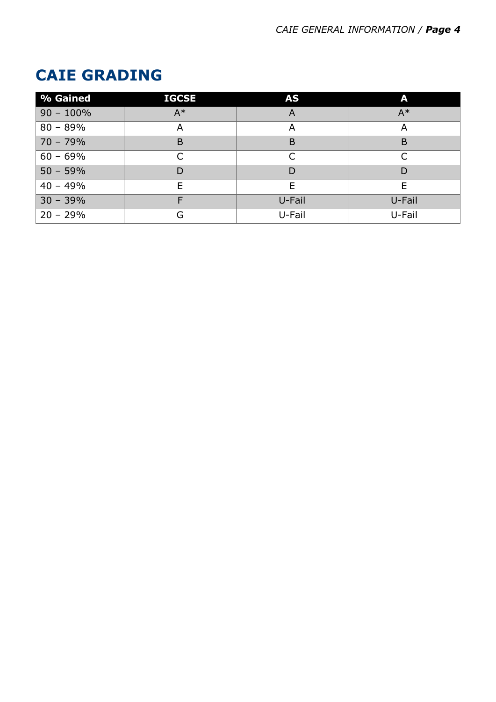# **CAIE GRADING**

| % Gained     | <b>IGCSE</b> | <b>AS</b> | A      |
|--------------|--------------|-----------|--------|
| $90 - 100\%$ | $A^*$        | A         | $A^*$  |
| $80 - 89%$   | А            | A         | A      |
| $70 - 79%$   | B            | B         | B      |
| $60 - 69%$   | ┌            |           |        |
| $50 - 59%$   | D            | D         | D      |
| $40 - 49%$   | F            | F         | E      |
| $30 - 39%$   | E            | U-Fail    | U-Fail |
| $20 - 29%$   | G            | U-Fail    | U-Fail |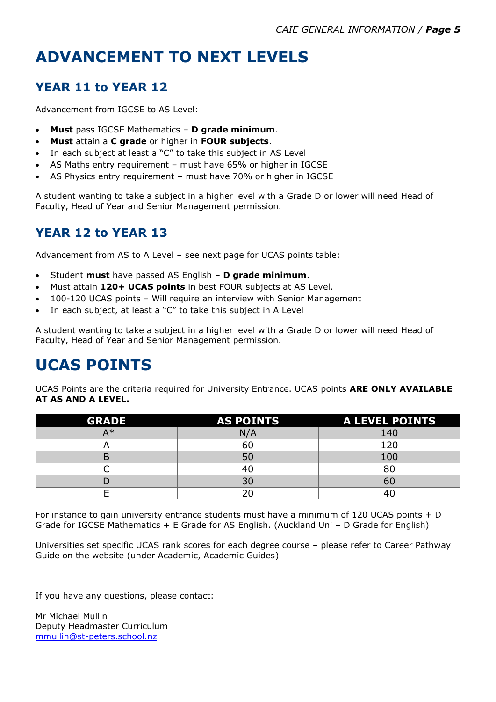# **ADVANCEMENT TO NEXT LEVELS**

#### **YEAR 11 to YEAR 12**

Advancement from IGCSE to AS Level:

- **Must** pass IGCSE Mathematics **D grade minimum**.
- **Must** attain a **C grade** or higher in **FOUR subjects**.
- In each subject at least a "C" to take this subject in AS Level
- AS Maths entry requirement must have 65% or higher in IGCSE
- AS Physics entry requirement must have 70% or higher in IGCSE

A student wanting to take a subject in a higher level with a Grade D or lower will need Head of Faculty, Head of Year and Senior Management permission.

#### **YEAR 12 to YEAR 13**

Advancement from AS to A Level – see next page for UCAS points table:

- Student **must** have passed AS English **D grade minimum**.
- Must attain **120+ UCAS points** in best FOUR subjects at AS Level.
- 100-120 UCAS points Will require an interview with Senior Management
- In each subject, at least a "C" to take this subject in A Level

A student wanting to take a subject in a higher level with a Grade D or lower will need Head of Faculty, Head of Year and Senior Management permission.

### **UCAS POINTS**

UCAS Points are the criteria required for University Entrance. UCAS points **ARE ONLY AVAILABLE AT AS AND A LEVEL.**

| <b>GRADE</b> | <b>AS POINTS</b> | A LEVEL POINTS |
|--------------|------------------|----------------|
| A*           | N/A              | 140            |
|              | 60               | 120            |
|              | 50               | 100            |
|              |                  | 80             |
|              | 30               | 60             |
|              |                  |                |

For instance to gain university entrance students must have a minimum of 120 UCAS points + D Grade for IGCSE Mathematics + E Grade for AS English. (Auckland Uni – D Grade for English)

Universities set specific UCAS rank scores for each degree course – please refer to Career Pathway Guide on the website (under Academic, Academic Guides)

If you have any questions, please contact:

Mr Michael Mullin Deputy Headmaster Curriculum [mmullin@st-peters.school.nz](mailto:mmullin@st-peters.school.nz)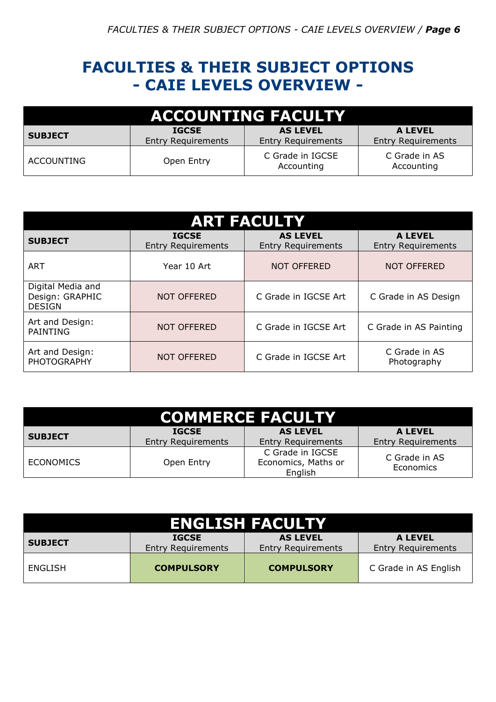### **FACULTIES & THEIR SUBJECT OPTIONS - CAIE LEVELS OVERVIEW -**

| <b>ACCOUNTING FACULTY</b> |                                           |                                              |                                             |
|---------------------------|-------------------------------------------|----------------------------------------------|---------------------------------------------|
| <b>SUBJECT</b>            | <b>IGCSE</b><br><b>Entry Requirements</b> | <b>AS LEVEL</b><br><b>Entry Requirements</b> | <b>A LEVEL</b><br><b>Entry Requirements</b> |
| <b>ACCOUNTING</b>         | Open Entry                                | C Grade in IGCSE<br>Accounting               | C Grade in AS<br>Accounting                 |

| <b>ART FACULTY</b>                                    |                                           |                                              |                                             |  |
|-------------------------------------------------------|-------------------------------------------|----------------------------------------------|---------------------------------------------|--|
| <b>SUBJECT</b>                                        | <b>IGCSE</b><br><b>Entry Requirements</b> | <b>AS LEVEL</b><br><b>Entry Requirements</b> | <b>A LEVEL</b><br><b>Entry Requirements</b> |  |
| ART                                                   | Year 10 Art                               | <b>NOT OFFERED</b>                           | <b>NOT OFFERED</b>                          |  |
| Digital Media and<br>Design: GRAPHIC<br><b>DESIGN</b> | <b>NOT OFFERED</b>                        | C Grade in IGCSE Art                         | C Grade in AS Design                        |  |
| Art and Design:<br><b>PAINTING</b>                    | <b>NOT OFFERED</b>                        | C Grade in IGCSE Art                         | C Grade in AS Painting                      |  |
| Art and Design:<br><b>PHOTOGRAPHY</b>                 | <b>NOT OFFERED</b>                        | C Grade in IGCSE Art                         | C Grade in AS<br>Photography                |  |

| <b>COMMERCE FACULTY</b>                                                                                                                                    |            |                                                    |                            |  |
|------------------------------------------------------------------------------------------------------------------------------------------------------------|------------|----------------------------------------------------|----------------------------|--|
| <b>AS LEVEL</b><br><b>A LEVEL</b><br><b>IGCSE</b><br><b>SUBJECT</b><br><b>Entry Requirements</b><br><b>Entry Requirements</b><br><b>Entry Requirements</b> |            |                                                    |                            |  |
| <b>ECONOMICS</b>                                                                                                                                           | Open Entry | C Grade in IGCSE<br>Economics, Maths or<br>English | C Grade in AS<br>Economics |  |

| <b>ENGLISH FACULTY</b>                                                                                                                                     |                   |                   |                       |  |
|------------------------------------------------------------------------------------------------------------------------------------------------------------|-------------------|-------------------|-----------------------|--|
| <b>AS LEVEL</b><br><b>A LEVEL</b><br><b>IGCSE</b><br><b>SUBJECT</b><br><b>Entry Requirements</b><br><b>Entry Requirements</b><br><b>Entry Requirements</b> |                   |                   |                       |  |
| ENGLISH                                                                                                                                                    | <b>COMPULSORY</b> | <b>COMPULSORY</b> | C Grade in AS English |  |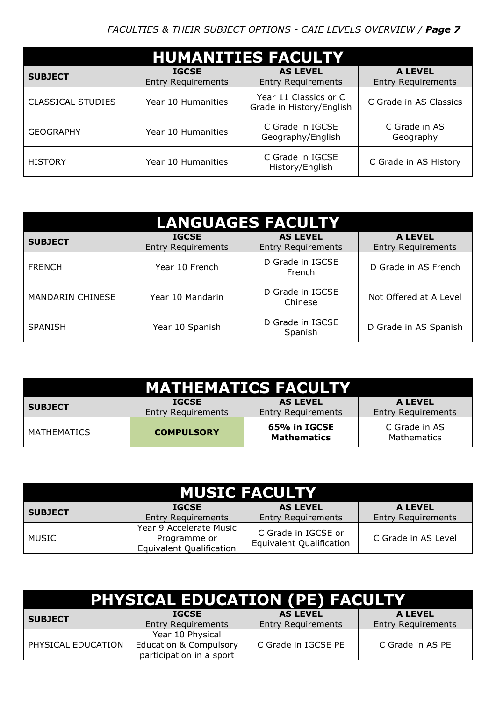| <b>HUMANITIES FACULTY</b> |                                           |                                                   |                                             |  |
|---------------------------|-------------------------------------------|---------------------------------------------------|---------------------------------------------|--|
| <b>SUBJECT</b>            | <b>IGCSE</b><br><b>Entry Requirements</b> | <b>AS LEVEL</b><br><b>Entry Requirements</b>      | <b>A LEVEL</b><br><b>Entry Requirements</b> |  |
| <b>CLASSICAL STUDIES</b>  | Year 10 Humanities                        | Year 11 Classics or C<br>Grade in History/English | C Grade in AS Classics                      |  |
| <b>GEOGRAPHY</b>          | Year 10 Humanities                        | C Grade in IGCSE<br>Geography/English             | C Grade in AS<br>Geography                  |  |
| <b>HISTORY</b>            | Year 10 Humanities                        | C Grade in IGCSE<br>History/English               | C Grade in AS History                       |  |

| <b>LANGUAGES FACULTY</b> |                                           |                                              |                                             |  |
|--------------------------|-------------------------------------------|----------------------------------------------|---------------------------------------------|--|
| <b>SUBJECT</b>           | <b>IGCSE</b><br><b>Entry Requirements</b> | <b>AS LEVEL</b><br><b>Entry Requirements</b> | <b>A LEVEL</b><br><b>Entry Requirements</b> |  |
| <b>FRENCH</b>            | Year 10 French                            | D Grade in IGCSE<br>French                   | D Grade in AS French                        |  |
| <b>MANDARIN CHINESE</b>  | Year 10 Mandarin                          | D Grade in IGCSE<br>Chinese                  | Not Offered at A Level                      |  |
| <b>SPANISH</b>           | Year 10 Spanish                           | D Grade in IGCSE<br>Spanish                  | D Grade in AS Spanish                       |  |

| <b>MATHEMATICS FACULTY</b> |                                           |                                              |                                             |
|----------------------------|-------------------------------------------|----------------------------------------------|---------------------------------------------|
| <b>SUBJECT</b>             | <b>IGCSE</b><br><b>Entry Requirements</b> | <b>AS LEVEL</b><br><b>Entry Requirements</b> | <b>A LEVEL</b><br><b>Entry Requirements</b> |
| <b>MATHEMATICS</b>         | <b>COMPULSORY</b>                         | 65% in IGCSE<br><b>Mathematics</b>           | C Grade in AS<br><b>Mathematics</b>         |

| <b>MUSIC FACULTY</b> |                                                                            |                                                        |                                             |
|----------------------|----------------------------------------------------------------------------|--------------------------------------------------------|---------------------------------------------|
| <b>SUBJECT</b>       | <b>IGCSE</b><br><b>Entry Requirements</b>                                  | <b>AS LEVEL</b><br><b>Entry Requirements</b>           | <b>A LEVEL</b><br><b>Entry Requirements</b> |
| <b>MUSIC</b>         | Year 9 Accelerate Music<br>Programme or<br><b>Equivalent Qualification</b> | C Grade in IGCSE or<br><b>Equivalent Qualification</b> | C Grade in AS Level                         |

| PHYSICAL EDUCATION (PE) FACULTY |                                                               |                           |                           |  |  |
|---------------------------------|---------------------------------------------------------------|---------------------------|---------------------------|--|--|
| <b>SUBJECT</b>                  | <b>IGCSE</b>                                                  | <b>AS LEVEL</b>           | <b>A LEVEL</b>            |  |  |
|                                 | <b>Entry Requirements</b>                                     | <b>Entry Requirements</b> | <b>Entry Requirements</b> |  |  |
| PHYSICAL EDUCATION              | Year 10 Physical                                              |                           |                           |  |  |
|                                 | <b>Education &amp; Compulsory</b><br>participation in a sport | C Grade in IGCSE PE       | C Grade in AS PE          |  |  |